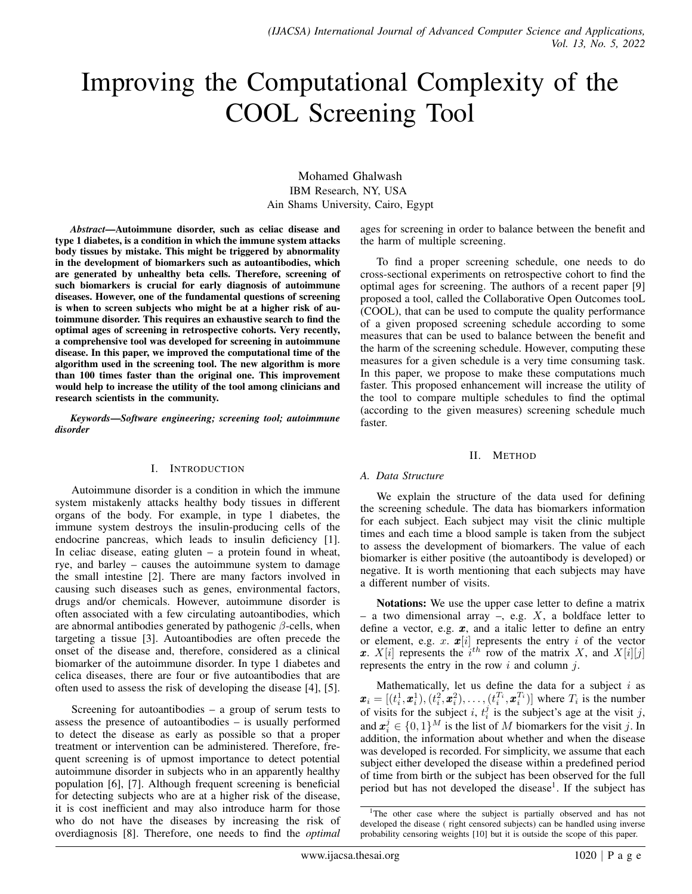# Improving the Computational Complexity of the COOL Screening Tool

Mohamed Ghalwash IBM Research, NY, USA Ain Shams University, Cairo, Egypt

*Abstract*—Autoimmune disorder, such as celiac disease and type 1 diabetes, is a condition in which the immune system attacks body tissues by mistake. This might be triggered by abnormality in the development of biomarkers such as autoantibodies, which are generated by unhealthy beta cells. Therefore, screening of such biomarkers is crucial for early diagnosis of autoimmune diseases. However, one of the fundamental questions of screening is when to screen subjects who might be at a higher risk of autoimmune disorder. This requires an exhaustive search to find the optimal ages of screening in retrospective cohorts. Very recently, a comprehensive tool was developed for screening in autoimmune disease. In this paper, we improved the computational time of the algorithm used in the screening tool. The new algorithm is more than 100 times faster than the original one. This improvement would help to increase the utility of the tool among clinicians and research scientists in the community.

*Keywords*—*Software engineering; screening tool; autoimmune disorder*

#### I. INTRODUCTION

Autoimmune disorder is a condition in which the immune system mistakenly attacks healthy body tissues in different organs of the body. For example, in type 1 diabetes, the immune system destroys the insulin-producing cells of the endocrine pancreas, which leads to insulin deficiency [1]. In celiac disease, eating gluten  $-$  a protein found in wheat, rye, and barley – causes the autoimmune system to damage the small intestine [2]. There are many factors involved in causing such diseases such as genes, environmental factors, drugs and/or chemicals. However, autoimmune disorder is often associated with a few circulating autoantibodies, which are abnormal antibodies generated by pathogenic  $\beta$ -cells, when targeting a tissue [3]. Autoantibodies are often precede the onset of the disease and, therefore, considered as a clinical biomarker of the autoimmune disorder. In type 1 diabetes and celica diseases, there are four or five autoantibodies that are often used to assess the risk of developing the disease [4], [5].

Screening for autoantibodies  $-$  a group of serum tests to assess the presence of autoantibodies – is usually performed to detect the disease as early as possible so that a proper treatment or intervention can be administered. Therefore, frequent screening is of upmost importance to detect potential autoimmune disorder in subjects who in an apparently healthy population [6], [7]. Although frequent screening is beneficial for detecting subjects who are at a higher risk of the disease, it is cost inefficient and may also introduce harm for those who do not have the diseases by increasing the risk of overdiagnosis [8]. Therefore, one needs to find the *optimal*

ages for screening in order to balance between the benefit and the harm of multiple screening.

To find a proper screening schedule, one needs to do cross-sectional experiments on retrospective cohort to find the optimal ages for screening. The authors of a recent paper [9] proposed a tool, called the Collaborative Open Outcomes tooL (COOL), that can be used to compute the quality performance of a given proposed screening schedule according to some measures that can be used to balance between the benefit and the harm of the screening schedule. However, computing these measures for a given schedule is a very time consuming task. In this paper, we propose to make these computations much faster. This proposed enhancement will increase the utility of the tool to compare multiple schedules to find the optimal (according to the given measures) screening schedule much faster.

#### II. METHOD

## *A. Data Structure*

We explain the structure of the data used for defining the screening schedule. The data has biomarkers information for each subject. Each subject may visit the clinic multiple times and each time a blood sample is taken from the subject to assess the development of biomarkers. The value of each biomarker is either positive (the autoantibody is developed) or negative. It is worth mentioning that each subjects may have a different number of visits.

Notations: We use the upper case letter to define a matrix – a two dimensional array –, e.g.  $X$ , a boldface letter to define a vector, e.g.  $x$ , and a italic letter to define an entry or element, e.g. x.  $\mathbf{x}[i]$  represents the entry i of the vector x.  $X[i]$  represents the  $i<sup>th</sup>$  row of the matrix X, and  $X[i][j]$ represents the entry in the row  $i$  and column  $j$ .

Mathematically, let us define the data for a subject  $i$  as  $\mathbf{x}_i = [(t_i^1, \mathbf{x}_i^1), (t_i^2, \mathbf{x}_i^2), \dots, (t_i^{T_i}, \mathbf{x}_i^{T_i})]$  where  $T_i$  is the number of visits for the subject i,  $t_i^j$  is the subject's age at the visit j, and  $\boldsymbol{x}_i^j \in \{0,1\}^M$  is the list of M biomarkers for the visit j. In addition, the information about whether and when the disease was developed is recorded. For simplicity, we assume that each subject either developed the disease within a predefined period of time from birth or the subject has been observed for the full period but has not developed the disease<sup>1</sup>. If the subject has

<sup>&</sup>lt;sup>1</sup>The other case where the subject is partially observed and has not developed the disease ( right censored subjects) can be handled using inverse probability censoring weights [10] but it is outside the scope of this paper.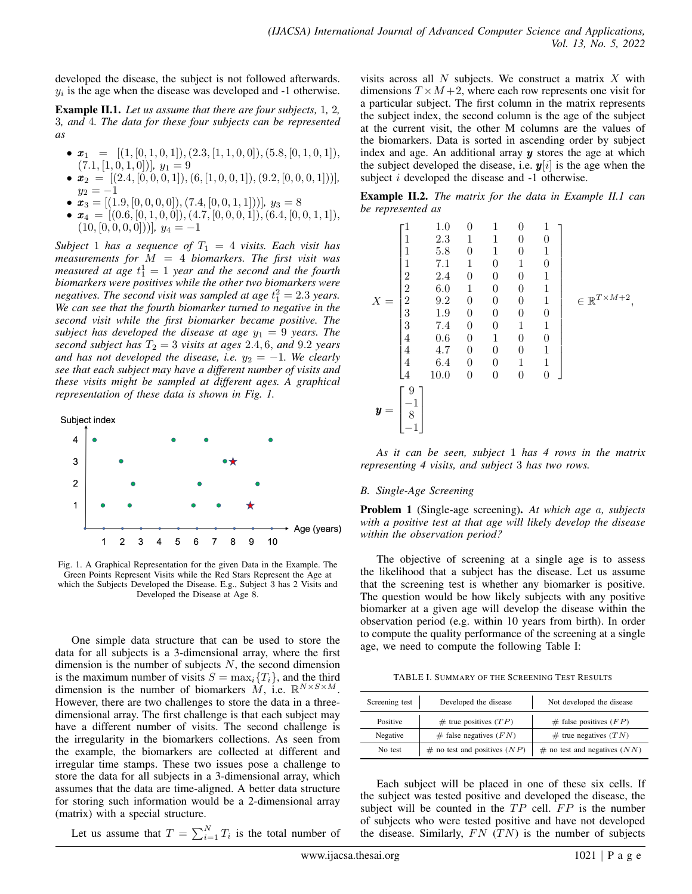developed the disease, the subject is not followed afterwards.  $y_i$  is the age when the disease was developed and  $-1$  otherwise.

Example II.1. *Let us assume that there are four subjects,* 1*,* 2*,* 3*, and* 4*. The data for these four subjects can be represented as*

- $\mathbf{x}_1 = [(1, [0, 1, 0, 1]), (2.3, [1, 1, 0, 0]), (5.8, [0, 1, 0, 1]),$  $(7.1, [1, 0, 1, 0])$ *,*  $y_1 = 9$
- $\mathbf{x}_2 = [(2.4, [0, 0, 0, 1]), (6, [1, 0, 0, 1]), (9.2, [0, 0, 0, 1]))]$  $y_2 = -1$
- $\mathbf{x}_3 = [(1.9, [0, 0, 0, 0]), (7.4, [0, 0, 1, 1]))]$ *,*  $y_3 = 8$
- $\mathbf{x}_4 = [(0.6, [0, 1, 0, 0]), (4.7, [0, 0, 0, 1]), (6.4, [0, 0, 1, 1]),$  $(10, [0, 0, 0, 0]))$ *,*  $y_4 = -1$

*Subject* 1 *has a sequence of*  $T_1 = 4$  *visits. Each visit has measurements for* M = 4 *biomarkers. The first visit was measured at age*  $t_1^1 = 1$  *year and the second and the fourth biomarkers were positives while the other two biomarkers were* negatives. The second visit was sampled at age  $t_1^2 = 2.3$  years. *We can see that the fourth biomarker turned to negative in the second visit while the first biomarker became positive. The subject has developed the disease at age*  $y_1 = 9$  *years. The second subject has*  $T_2 = 3$  *visits at ages* 2.4, 6, *and* 9.2 *years and has not developed the disease, i.e.*  $y_2 = -1$ *. We clearly see that each subject may have a different number of visits and these visits might be sampled at different ages. A graphical representation of these data is shown in Fig. 1.*

Subject index



Fig. 1. A Graphical Representation for the given Data in the Example. The Green Points Represent Visits while the Red Stars Represent the Age at which the Subjects Developed the Disease. E.g., Subject 3 has 2 Visits and Developed the Disease at Age 8.

One simple data structure that can be used to store the data for all subjects is a 3-dimensional array, where the first dimension is the number of subjects  $N$ , the second dimension is the maximum number of visits  $S = \max_i \{T_i\}$ , and the third dimension is the number of biomarkers  $M$ , i.e.  $\mathbb{R}^{N\times S\times M}$ . However, there are two challenges to store the data in a threedimensional array. The first challenge is that each subject may have a different number of visits. The second challenge is the irregularity in the biomarkers collections. As seen from the example, the biomarkers are collected at different and irregular time stamps. These two issues pose a challenge to store the data for all subjects in a 3-dimensional array, which assumes that the data are time-aligned. A better data structure for storing such information would be a 2-dimensional array (matrix) with a special structure.

Let us assume that  $T = \sum_{i=1}^{N} T_i$  is the total number of

visits across all  $N$  subjects. We construct a matrix  $X$  with dimensions  $T \times M + 2$ , where each row represents one visit for a particular subject. The first column in the matrix represents the subject index, the second column is the age of the subject at the current visit, the other M columns are the values of the biomarkers. Data is sorted in ascending order by subject index and age. An additional array  $y$  stores the age at which the subject developed the disease, i.e.  $y[i]$  is the age when the subject *i* developed the disease and -1 otherwise.

Example II.2. *The matrix for the data in Example II.1 can be represented as*

|       |                  | 1.0     | 0            | 1 | 0              | $\mathbf{1}$ |                                   |
|-------|------------------|---------|--------------|---|----------------|--------------|-----------------------------------|
|       |                  | 2.3     | 1            | 1 | 0              | $\theta$     |                                   |
|       |                  | $5.8\,$ | 0            | 1 | 0              | 1            |                                   |
|       |                  | 7.1     | 1            | 0 | 1              | 0            |                                   |
|       | $\boldsymbol{2}$ | 2.4     | 0            | 0 | 0              | 1            |                                   |
|       | $\boldsymbol{2}$ | $6.0\,$ | $\mathbf{1}$ | 0 | 0              | 1            |                                   |
| $X =$ | $\overline{2}$   | 9.2     | 0            | 0 | 0              | 1            | $\in \mathbb{R}^{T \times M + 2}$ |
|       | 3                | $1.9\,$ | 0            | 0 | 0              | 0            |                                   |
|       | 3                | $7.4\,$ | 0            | 0 | 1              | 1            |                                   |
|       | $\overline{4}$   | 0.6     | 0            | 1 | 0              | 0            |                                   |
|       | $\overline{4}$   | 4.7     | 0            | 0 | 0              | 1            |                                   |
|       | $\overline{4}$   | 6.4     | 0            | 0 | 1              | 1            |                                   |
|       | $\overline{A}$   | 10.0    | 0            | 0 | $\overline{0}$ | 0            |                                   |
|       | 9<br>8           |         |              |   |                |              |                                   |
|       |                  |         |              |   |                |              |                                   |

*As it can be seen, subject* 1 *has 4 rows in the matrix representing 4 visits, and subject* 3 *has two rows.*

## *B. Single-Age Screening*

Problem 1 (Single-age screening). *At which age* a*, subjects with a positive test at that age will likely develop the disease within the observation period?*

The objective of screening at a single age is to assess the likelihood that a subject has the disease. Let us assume that the screening test is whether any biomarker is positive. The question would be how likely subjects with any positive biomarker at a given age will develop the disease within the observation period (e.g. within 10 years from birth). In order to compute the quality performance of the screening at a single age, we need to compute the following Table I:

TABLE I. SUMMARY OF THE SCREENING TEST RESULTS

| Screening test | Developed the disease            | Not developed the disease        |
|----------------|----------------------------------|----------------------------------|
|                |                                  |                                  |
| Positive       | $#$ true positives $(TP)$        | $#$ false positives $(FP)$       |
| Negative       | $#$ false negatives $(FN)$       | $#$ true negatives $(TN)$        |
| No test        | $#$ no test and positives $(NP)$ | $#$ no test and negatives $(NN)$ |

Each subject will be placed in one of these six cells. If the subject was tested positive and developed the disease, the subject will be counted in the  $TP$  cell.  $FP$  is the number of subjects who were tested positive and have not developed the disease. Similarly,  $FN$   $(TN)$  is the number of subjects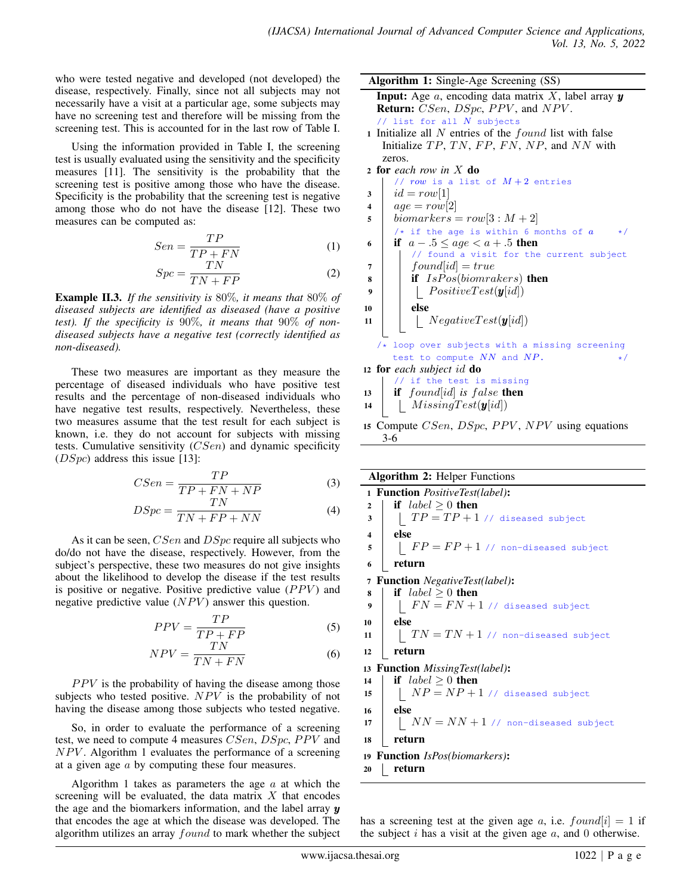who were tested negative and developed (not developed) the disease, respectively. Finally, since not all subjects may not necessarily have a visit at a particular age, some subjects may have no screening test and therefore will be missing from the screening test. This is accounted for in the last row of Table I.

Using the information provided in Table I, the screening test is usually evaluated using the sensitivity and the specificity measures [11]. The sensitivity is the probability that the screening test is positive among those who have the disease. Specificity is the probability that the screening test is negative among those who do not have the disease [12]. These two measures can be computed as:

$$
Sen = \frac{TP}{TP + FN} \tag{1}
$$

$$
Spc = \frac{TN}{TN + FP}
$$
 (2)

Example II.3. *If the sensitivity is* 80%*, it means that* 80% *of diseased subjects are identified as diseased (have a positive test). If the specificity is* 90%*, it means that* 90% *of nondiseased subjects have a negative test (correctly identified as non-diseased).*

These two measures are important as they measure the percentage of diseased individuals who have positive test results and the percentage of non-diseased individuals who have negative test results, respectively. Nevertheless, these two measures assume that the test result for each subject is known, i.e. they do not account for subjects with missing tests. Cumulative sensitivity  $(CSen)$  and dynamic specificity  $(DSpc)$  address this issue [13]:

$$
CSen = \frac{TP}{TP + FN + NP}
$$
 (3)

$$
DSpc = \frac{TN}{TN + FP + NN} \tag{4}
$$

As it can be seen, *CSen* and *DSpc* require all subjects who do/do not have the disease, respectively. However, from the subject's perspective, these two measures do not give insights about the likelihood to develop the disease if the test results is positive or negative. Positive predictive value  $(PPV)$  and negative predictive value  $(NPV)$  answer this question.

$$
PPV = \frac{TP}{TP + FP}
$$
 (5)

$$
NPV = \frac{TN}{TN + FN} \tag{6}
$$

 $PPV$  is the probability of having the disease among those subjects who tested positive.  $NPV$  is the probability of not having the disease among those subjects who tested negative.

So, in order to evaluate the performance of a screening test, we need to compute 4 measures CSen, DSpc, PPV and  $NPV$ . Algorithm 1 evaluates the performance of a screening at a given age a by computing these four measures.

Algorithm 1 takes as parameters the age  $\alpha$  at which the screening will be evaluated, the data matrix  $X$  that encodes the age and the biomarkers information, and the label array  $y$ that encodes the age at which the disease was developed. The algorithm utilizes an array *found* to mark whether the subject Algorithm 1: Single-Age Screening (SS)

**Input:** Age  $a$ , encoding data matrix  $X$ , label array  $y$ Return: CSen, DSpc, PPV, and NPV. // list for all  $N$  subjects

1 Initialize all  $N$  entries of the  $found$  list with false Initialize  $TP, TN, FP, FN, NP,$  and  $NN$  with zeros.

```
2 for each row in X do
```
- //  $row$  is a list of  $M+2$  entries
- $3 \mid id = row[1]$
- 4  $age = row[2]$
- 5 | biomarkers =  $row[3:M+2]$
- /\* if the age is within 6 months of  $a$ 6 if  $a - 0.5 \leq age < a + 0.5$  then
- // found a visit for the current subject  $\tau$  | found[id] = true
- $\bf{s}$  if  $IsPos(hiomrakers)$  then

$$
\begin{array}{c|c|c} \hline \textbf{A} & \textbf{I} & \textbf{B} & \textbf{B} \\ \hline \textbf{B} & \textbf{B} & \textbf{B} \\ \hline \textbf{B} & \textbf{B} & \textbf{B} \\ \hline \end{array}
$$

```
10 else
11 | | NegativeTest(y[id])
```
- 
- /\* loop over subjects with a missing screening test to compute  $NN$  and  $NP$ .  $\star/$
- <sup>12</sup> for *each subject* id do
- // if the test is missing
- $13$  **if** found id is false then
- 14 |  $Missing Test(y(id))$
- 15 Compute CSen, DSpc, PPV, NPV using equations 3-6

| <b>Algorithm 2: Helper Functions</b> |  |  |  |
|--------------------------------------|--|--|--|
|--------------------------------------|--|--|--|

|                                               | 1 Function PositiveTest(label):                |  |  |  |
|-----------------------------------------------|------------------------------------------------|--|--|--|
| $\overline{2}$                                | if $label \geq 0$ then                         |  |  |  |
| 3                                             | $TP = TP + 1$ // diseased subject              |  |  |  |
| $\overline{\mathbf{4}}$                       | else                                           |  |  |  |
| 5                                             | $FP = FP + 1$ // non-diseased subject          |  |  |  |
| 6                                             | return                                         |  |  |  |
| 7                                             | <b>Function</b> NegativeTest(label):           |  |  |  |
| 8                                             | if $label \geq 0$ then                         |  |  |  |
| 9                                             | $FN = FN + 1$ // diseased subject              |  |  |  |
| 10                                            | else                                           |  |  |  |
| 11                                            | $TN = TN + 1$ // non-diseased subject          |  |  |  |
| 12                                            | return                                         |  |  |  |
|                                               | 13 <b>Function</b> <i>MissingTest(label)</i> : |  |  |  |
| 14                                            | if $label \geq 0$ then                         |  |  |  |
| 15                                            | $NP = NP + 1$ // diseased subject              |  |  |  |
| 16                                            | else                                           |  |  |  |
| 17                                            | $NN = NN + 1$ // non-diseased subject          |  |  |  |
| 18                                            | return                                         |  |  |  |
| 19 <b>Function</b> <i>IsPos(biomarkers)</i> : |                                                |  |  |  |
| 20                                            | return                                         |  |  |  |
|                                               |                                                |  |  |  |

has a screening test at the given age a, i.e.  $found[i] = 1$  if the subject i has a visit at the given age  $a$ , and 0 otherwise.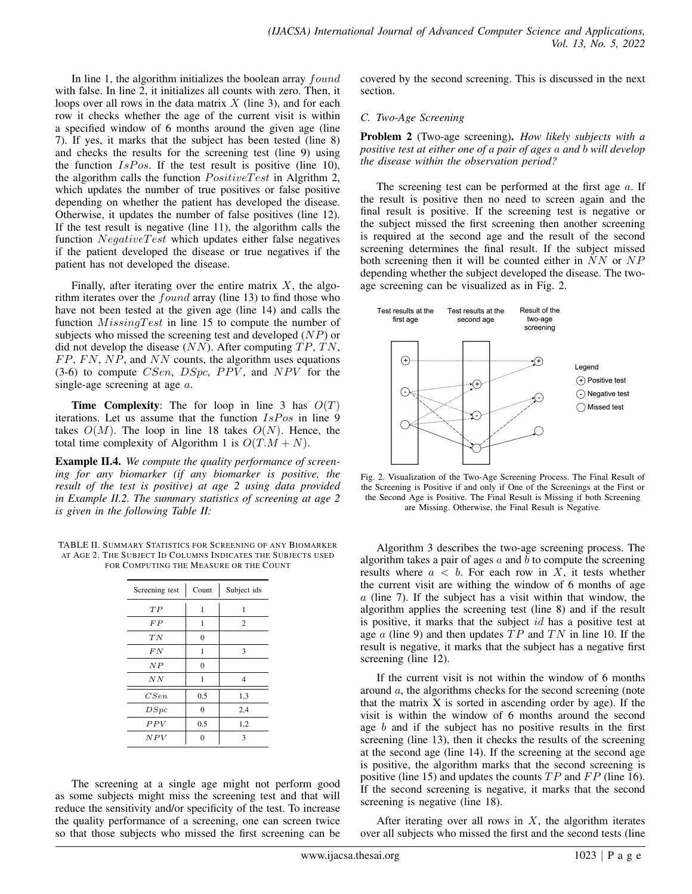In line 1, the algorithm initializes the boolean array  $found$ with false. In line 2, it initializes all counts with zero. Then, it loops over all rows in the data matrix  $X$  (line 3), and for each row it checks whether the age of the current visit is within a specified window of 6 months around the given age (line 7). If yes, it marks that the subject has been tested (line 8) and checks the results for the screening test (line 9) using the function  $IsPos$ . If the test result is positive (line 10), the algorithm calls the function  $PositiveTest$  in Algrithm 2, which updates the number of true positives or false positive depending on whether the patient has developed the disease. Otherwise, it updates the number of false positives (line 12). If the test result is negative (line 11), the algorithm calls the function  $NegativeTest$  which updates either false negatives if the patient developed the disease or true negatives if the patient has not developed the disease.

Finally, after iterating over the entire matrix  $X$ , the algorithm iterates over the  $found$  array (line 13) to find those who have not been tested at the given age (line 14) and calls the function  $Missing Test$  in line 15 to compute the number of subjects who missed the screening test and developed (NP) or did not develop the disease  $(NN)$ . After computing  $TP$ ,  $TN$ ,  $FP, FN, NP,$  and  $NN$  counts, the algorithm uses equations  $(3-6)$  to compute *CSen*, *DSpc*, *PPV*, and *NPV* for the single-age screening at age  $a$ .

**Time Complexity:** The for loop in line 3 has  $O(T)$ iterations. Let us assume that the function  $IsPos$  in line 9 takes  $O(M)$ . The loop in line 18 takes  $O(N)$ . Hence, the total time complexity of Algorithm 1 is  $O(T \cdot M + N)$ .

Example II.4. *We compute the quality performance of screening for any biomarker (if any biomarker is positive, the result of the test is positive) at age 2 using data provided in Example II.2. The summary statistics of screening at age 2 is given in the following Table II:*

TABLE II. SUMMARY STATISTICS FOR SCREENING OF ANY BIOMARKER AT AGE 2. THE SUBJECT ID COLUMNS INDICATES THE SUBJECTS USED FOR COMPUTING THE MEASURE OR THE COUNT

| Screening test | Count    | Subject ids    |
|----------------|----------|----------------|
| TP             | 1        | 1              |
| FP             | 1        | $\overline{c}$ |
| TN             | $\theta$ |                |
| F N            | 1        | 3              |
| N P            | $\theta$ |                |
| N N            | 1        | 4              |
| CSen           | 0.5      | 1,3            |
| DSpc           | 0        | 2,4            |
| PPV            | 0.5      | 1,2            |
| NPV            |          | 3              |

The screening at a single age might not perform good as some subjects might miss the screening test and that will reduce the sensitivity and/or specificity of the test. To increase the quality performance of a screening, one can screen twice so that those subjects who missed the first screening can be covered by the second screening. This is discussed in the next section.

## *C. Two-Age Screening*

Problem 2 (Two-age screening). *How likely subjects with a positive test at either one of a pair of ages* a *and* b *will develop the disease within the observation period?*

The screening test can be performed at the first age  $a$ . If the result is positive then no need to screen again and the final result is positive. If the screening test is negative or the subject missed the first screening then another screening is required at the second age and the result of the second screening determines the final result. If the subject missed both screening then it will be counted either in  $NN$  or  $NP$ depending whether the subject developed the disease. The twoage screening can be visualized as in Fig. 2.



Fig. 2. Visualization of the Two-Age Screening Process. The Final Result of the Screening is Positive if and only if One of the Screenings at the First or the Second Age is Positive. The Final Result is Missing if both Screening are Missing. Otherwise, the Final Result is Negative.

Algorithm 3 describes the two-age screening process. The algorithm takes a pair of ages  $a$  and  $b$  to compute the screening results where  $a < b$ . For each row in X, it tests whether the current visit are withing the window of 6 months of age  $a$  (line 7). If the subject has a visit within that window, the algorithm applies the screening test (line 8) and if the result is positive, it marks that the subject id has a positive test at age  $\alpha$  (line 9) and then updates  $TP$  and  $TN$  in line 10. If the result is negative, it marks that the subject has a negative first screening (line 12).

If the current visit is not within the window of 6 months around a, the algorithms checks for the second screening (note that the matrix  $X$  is sorted in ascending order by age). If the visit is within the window of 6 months around the second age b and if the subject has no positive results in the first screening (line 13), then it checks the results of the screening at the second age (line 14). If the screening at the second age is positive, the algorithm marks that the second screening is positive (line 15) and updates the counts  $TP$  and  $FP$  (line 16). If the second screening is negative, it marks that the second screening is negative (line 18).

After iterating over all rows in  $X$ , the algorithm iterates over all subjects who missed the first and the second tests (line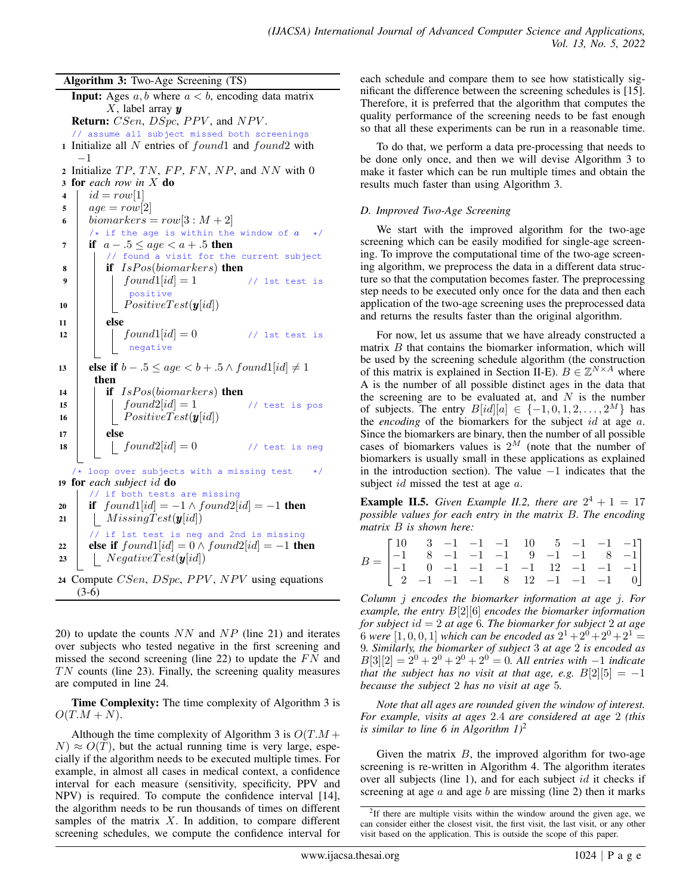Algorithm 3: Two-Age Screening (TS)

```
Input: Ages a, b where a < b, encoding data matrix
        X, label array yReturn: CSen, DSpc, PPV, and NPV.
  // assume all subject missed both screenings
1 Initialize all N entries of found1 and found2 with
   −1
2 Initialize TP, TN, FP, FN, NP, and NN with 0
3 for each row in X do
4 | id = row[1]5 \mid age = row[2]6 biomarkers = row[3:M+2]/* if the age is within the window of a \rightarrow/
7 if a - 0.5 \leq age < a + 0.5 then
         // found a visit for the current subject
\bf{8} | if IsPos(biomarkers) then
9 \vert \vert \vert found1[id] = 1 // 1st test is
             positive
10 | | PositiveTest(y[i]]11 else
12 | \int \text{ound1}[id] = 0 // 1st test is
            negative
13 else if b-.5 \leq age < b+.5 \wedge found1(id] \neq 1then
14 if IsPos(biomarkers) then
15 \vert \vert \vert found2[id] = 1 // test is pos
16 | | PositiveTest(y[i]]17 else
18 \vert \vert \vert found2[id]=0 //test is neg
  /* loop over subjects with a missing test */19 for each subject id do
      // if both tests are missing
20 if found1|id| = -1 \wedge found2|id| = -1 then
21 | Missing Test(y(id))// if 1st test is neg and 2nd is missing
22 else if found1[id] = 0 \wedge found2[id] = -1 then
23 | NegativeTest(y[i]24 Compute CSen, DSpc, PPV, NPV using equations
   (3-6)
```
20) to update the counts  $NN$  and  $NP$  (line 21) and iterates over subjects who tested negative in the first screening and missed the second screening (line 22) to update the  $FN$  and  $TN$  counts (line 23). Finally, the screening quality measures are computed in line 24.

Time Complexity: The time complexity of Algorithm 3 is  $O(T.M + N).$ 

Although the time complexity of Algorithm 3 is  $O(T.M +$  $N \approx O(T)$ , but the actual running time is very large, especially if the algorithm needs to be executed multiple times. For example, in almost all cases in medical context, a confidence interval for each measure (sensitivity, specificity, PPV and NPV) is required. To compute the confidence interval [14], the algorithm needs to be run thousands of times on different samples of the matrix  $X$ . In addition, to compare different screening schedules, we compute the confidence interval for

each schedule and compare them to see how statistically significant the difference between the screening schedules is [15]. Therefore, it is preferred that the algorithm that computes the quality performance of the screening needs to be fast enough so that all these experiments can be run in a reasonable time.

To do that, we perform a data pre-processing that needs to be done only once, and then we will devise Algorithm 3 to make it faster which can be run multiple times and obtain the results much faster than using Algorithm 3.

## *D. Improved Two-Age Screening*

We start with the improved algorithm for the two-age screening which can be easily modified for single-age screening. To improve the computational time of the two-age screening algorithm, we preprocess the data in a different data structure so that the computation becomes faster. The preprocessing step needs to be executed only once for the data and then each application of the two-age screening uses the preprocessed data and returns the results faster than the original algorithm.

For now, let us assume that we have already constructed a matrix  $B$  that contains the biomarker information, which will be used by the screening schedule algorithm (the construction of this matrix is explained in Section II-E).  $B \in \mathbb{Z}^{N \times A}$  where A is the number of all possible distinct ages in the data that the screening are to be evaluated at, and  $N$  is the number of subjects. The entry  $B[i d][a] \in \{-1, 0, 1, 2, \ldots, 2^M\}$  has the *encoding* of the biomarkers for the subject id at age a. Since the biomarkers are binary, then the number of all possible cases of biomarkers values is  $2^M$  (note that the number of biomarkers is usually small in these applications as explained in the introduction section). The value  $-1$  indicates that the subject *id* missed the test at age *a*.

**Example II.5.** Given Example II.2, there are  $2^4 + 1 = 17$ *possible values for each entry in the matrix* B*. The encoding matrix* B *is shown here:*

|                                                                                                                                    |  |  | $\begin{bmatrix} 10 & 3 & -1 & -1 & -1 & 10 & 5 & -1 & -1 & -1 \end{bmatrix}$ |  |  |  |
|------------------------------------------------------------------------------------------------------------------------------------|--|--|-------------------------------------------------------------------------------|--|--|--|
|                                                                                                                                    |  |  |                                                                               |  |  |  |
| $B = \begin{vmatrix} -1 & 8 & -1 & -1 & -1 & 9 & -1 & -1 & 8 & -1 \\ -1 & 0 & -1 & -1 & -1 & -1 & 12 & -1 & -1 & -1 \end{vmatrix}$ |  |  |                                                                               |  |  |  |
|                                                                                                                                    |  |  | $\begin{bmatrix} 2 & -1 & -1 & -1 & 8 & 12 & -1 & -1 & -1 & 0 \end{bmatrix}$  |  |  |  |

*Column* j *encodes the biomarker information at age* j*. For example, the entry* B[2][6] *encodes the biomarker information for subject* id = 2 *at age* 6*. The biomarker for subject* 2 *at age* 6 were  $[1, 0, 0, 1]$  which can be encoded as  $2^1 + 2^0 + 2^0 + 2^1 =$ 9*. Similarly, the biomarker of subject* 3 *at age* 2 *is encoded as*  $B[3][2] = 2^0 + 2^0 + 2^0 + 2^0 = 0$ . All entries with  $-1$  *indicate that the subject has no visit at that age, e.g.*  $B[2][5] = -1$ *because the subject* 2 *has no visit at age* 5*.*

*Note that all ages are rounded given the window of interest. For example, visits at ages* 2.4 *are considered at age* 2 *(this is similar to line 6 in Algorithm 1)*<sup>2</sup>

Given the matrix  $B$ , the improved algorithm for two-age screening is re-written in Algorithm 4. The algorithm iterates over all subjects (line 1), and for each subject *id* it checks if screening at age  $a$  and age  $b$  are missing (line 2) then it marks

<sup>&</sup>lt;sup>2</sup>If there are multiple visits within the window around the given age, we can consider either the closest visit, the first visit, the last visit, or any other visit based on the application. This is outside the scope of this paper.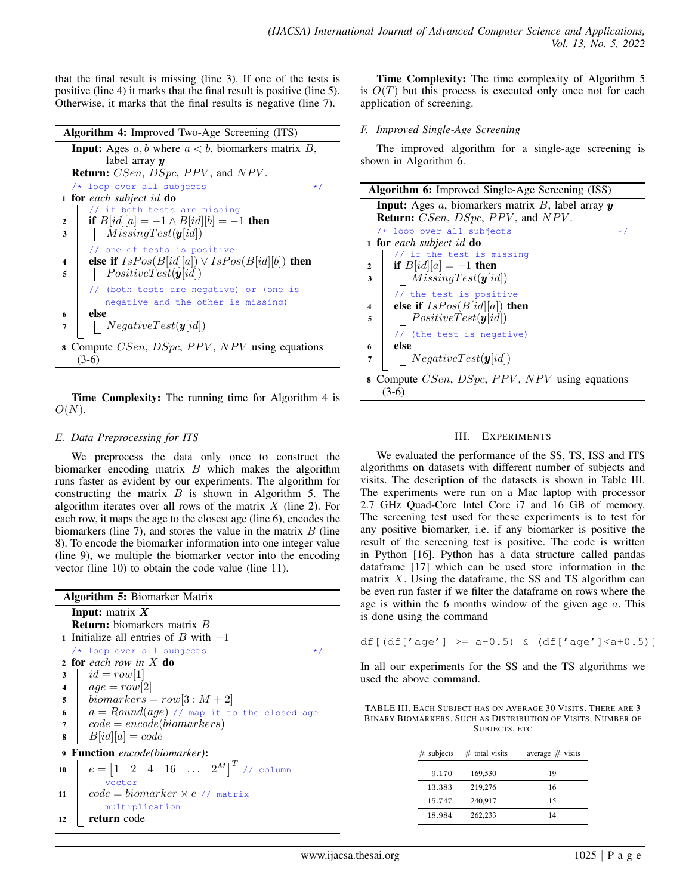that the final result is missing (line 3). If one of the tests is positive (line 4) it marks that the final result is positive (line 5). Otherwise, it marks that the final results is negative (line 7).

| <b>Algorithm 4:</b> Improved Two-Age Screening (ITS)                                 |
|--------------------------------------------------------------------------------------|
| <b>Input:</b> Ages $a, b$ where $a < b$ , biomarkers matrix $B$ ,                    |
| label array $\boldsymbol{y}$                                                         |
| <b>Return:</b> CSen, DSpc, PPV, and NPV.                                             |
| $/*$ loop over all subjects<br>$\star$ /                                             |
| <b>1 for</b> each subject id $\bf{do}$                                               |
| // if both tests are missing                                                         |
| if $B[id][a] = -1 \wedge B[id][b] = -1$ then<br>$\mathbf{2}$                         |
| $MissingTest(\boldsymbol{y}[id])$<br>3                                               |
| // one of tests is positive                                                          |
| else if $IsPos(B[id][a]) \vee IsPos(B[id][b])$ then<br>4                             |
| $PositiveTest(\boldsymbol{y}[id])$<br>5                                              |
| // (both tests are negative) or (one is                                              |
| negative and the other is missing)                                                   |
| else<br>6                                                                            |
| NegativeTest(y(id])<br>7                                                             |
| <b>8</b> Compute <i>CSen</i> , <i>DSpc</i> , <i>PPV</i> , <i>NPV</i> using equations |
| $(3-6)$                                                                              |

Time Complexity: The running time for Algorithm 4 is  $O(N).$ 

# *E. Data Preprocessing for ITS*

We preprocess the data only once to construct the biomarker encoding matrix  $B$  which makes the algorithm runs faster as evident by our experiments. The algorithm for constructing the matrix  $B$  is shown in Algorithm 5. The algorithm iterates over all rows of the matrix  $X$  (line 2). For each row, it maps the age to the closest age (line 6), encodes the biomarkers (line 7), and stores the value in the matrix  $B$  (line 8). To encode the biomarker information into one integer value (line 9), we multiple the biomarker vector into the encoding vector (line 10) to obtain the code value (line 11).

|                         | <b>Algorithm 5:</b> Biomarker Matrix                                         |
|-------------------------|------------------------------------------------------------------------------|
|                         | <b>Input:</b> matrix $X$                                                     |
|                         | <b>Return:</b> biomarkers matrix $B$                                         |
|                         | 1 Initialize all entries of B with $-1$                                      |
|                         | $/*$ loop over all subjects<br>$\star$ /                                     |
|                         | 2 for each row in X do                                                       |
| 3                       | $id = row[1]$                                                                |
| $\overline{\mathbf{4}}$ | $age = row[2]$                                                               |
| 5                       | $biomarkers = row[3 : M + 2]$                                                |
| 6                       | $a = Round(age)$ // map it to the closed age                                 |
| 7                       | $\vert \quad code = encode(biomarkers)$                                      |
| 8                       | $\mid B(id [a] = code$                                                       |
| $\boldsymbol{9}$        | <b>Function</b> encode(biomarker):                                           |
| 10                      | $e = \begin{bmatrix} 1 & 2 & 4 & 16 & \dots & 2^M \end{bmatrix}^T$ // column |
|                         | vector                                                                       |
| 11                      | $code = biomarker \times e$ // matrix                                        |
|                         | multiplication                                                               |
| 12                      | return code                                                                  |

Time Complexity: The time complexity of Algorithm 5 is  $O(T)$  but this process is executed only once not for each application of screening.

## *F. Improved Single-Age Screening*

The improved algorithm for a single-age screening is shown in Algorithm 6.

|                | <b>Algorithm 6:</b> Improved Single-Age Screening (ISS)          |  |  |  |
|----------------|------------------------------------------------------------------|--|--|--|
|                | <b>Input:</b> Ages $a$ , biomarkers matrix $B$ , label array $y$ |  |  |  |
|                | <b>Return:</b> CSen, DSpc, PPV, and NPV.                         |  |  |  |
|                | $/*$ loop over all subjects<br>$\star$ /                         |  |  |  |
|                | <b>1 for</b> each subject id <b>do</b>                           |  |  |  |
|                | // if the test is missing                                        |  |  |  |
| $\overline{2}$ | if $B(id  a) = -1$ then                                          |  |  |  |
| 3              | $ $ MissingTest(y[id])                                           |  |  |  |
|                | // the test is positive                                          |  |  |  |
| 4              | else if $IsPos(B[id][a])$ then                                   |  |  |  |
| 5              | $PositiveTest(\boldsymbol{y}[id])$                               |  |  |  |
|                | // (the test is negative)                                        |  |  |  |
| 6              | else                                                             |  |  |  |
| 7              | NegativeTest(y(id])                                              |  |  |  |
|                | 8 Compute CSen, DSpc, PPV, NPV using equations<br>$(3-6)$        |  |  |  |
|                |                                                                  |  |  |  |

# III. EXPERIMENTS

We evaluated the performance of the SS, TS, ISS and ITS algorithms on datasets with different number of subjects and visits. The description of the datasets is shown in Table III. The experiments were run on a Mac laptop with processor 2.7 GHz Quad-Core Intel Core i7 and 16 GB of memory. The screening test used for these experiments is to test for any positive biomarker, i.e. if any biomarker is positive the result of the screening test is positive. The code is written in Python [16]. Python has a data structure called pandas dataframe [17] which can be used store information in the matrix  $X$ . Using the dataframe, the SS and TS algorithm can be even run faster if we filter the dataframe on rows where the age is within the 6 months window of the given age  $a$ . This is done using the command

$$
df[(df['age'] >= a-0.5) & (df['age'] < a+0.5)]
$$

In all our experiments for the SS and the TS algorithms we used the above command.

TABLE III. EACH SUBJECT HAS ON AVERAGE 30 VISITS. THERE ARE 3 BINARY BIOMARKERS. SUCH AS DISTRIBUTION OF VISITS, NUMBER OF SUBJECTS, ETC

| $#$ subjects | $#$ total visits | average $#$ visits |
|--------------|------------------|--------------------|
| 9.170        | 169,530          | 19                 |
| 13.383       | 219,276          | 16                 |
| 15.747       | 240,917          | 15                 |
| 18.984       | 262,233          | 14                 |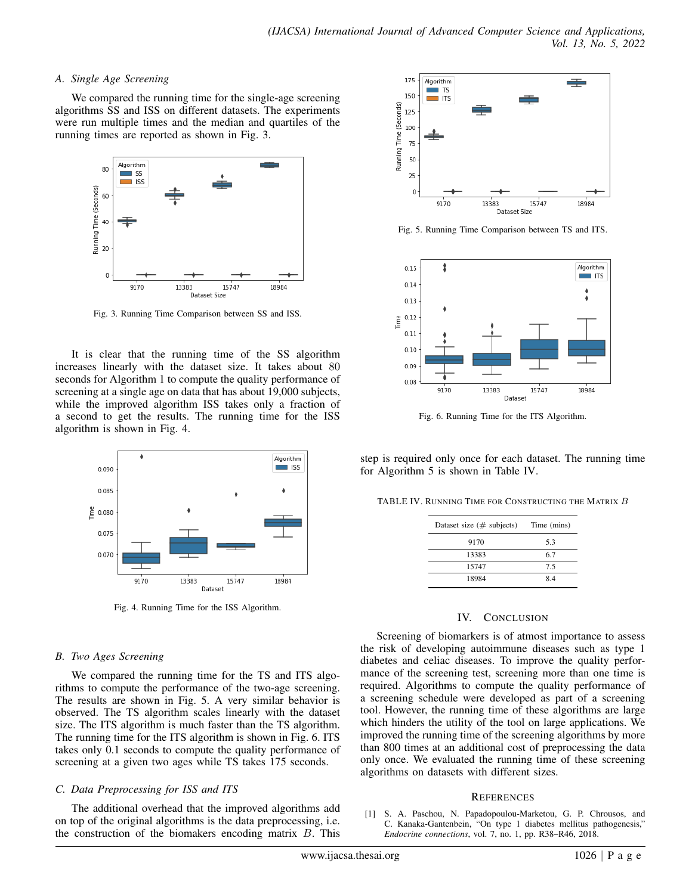#### *A. Single Age Screening*

We compared the running time for the single-age screening algorithms SS and ISS on different datasets. The experiments were run multiple times and the median and quartiles of the running times are reported as shown in Fig. 3.



Fig. 3. Running Time Comparison between SS and ISS.

It is clear that the running time of the SS algorithm increases linearly with the dataset size. It takes about 80 seconds for Algorithm 1 to compute the quality performance of screening at a single age on data that has about 19,000 subjects, while the improved algorithm ISS takes only a fraction of a second to get the results. The running time for the ISS algorithm is shown in Fig. 4.



Fig. 4. Running Time for the ISS Algorithm.

## *B. Two Ages Screening*

We compared the running time for the TS and ITS algorithms to compute the performance of the two-age screening. The results are shown in Fig. 5. A very similar behavior is observed. The TS algorithm scales linearly with the dataset size. The ITS algorithm is much faster than the TS algorithm. The running time for the ITS algorithm is shown in Fig. 6. ITS takes only 0.1 seconds to compute the quality performance of screening at a given two ages while TS takes 175 seconds.

## *C. Data Preprocessing for ISS and ITS*

The additional overhead that the improved algorithms add on top of the original algorithms is the data preprocessing, i.e. the construction of the biomakers encoding matrix  $B$ . This



Fig. 5. Running Time Comparison between TS and ITS.



Fig. 6. Running Time for the ITS Algorithm.

step is required only once for each dataset. The running time for Algorithm 5 is shown in Table IV.

TABLE IV. RUNNING TIME FOR CONSTRUCTING THE MATRIX **B** 

| Dataset size $(\# \text{ subjects})$ | Time (mins) |
|--------------------------------------|-------------|
| 9170                                 | 5.3         |
| 13383                                | 6.7         |
| 15747                                | 7.5         |
| 18984                                | 84          |

## IV. CONCLUSION

Screening of biomarkers is of atmost importance to assess the risk of developing autoimmune diseases such as type 1 diabetes and celiac diseases. To improve the quality performance of the screening test, screening more than one time is required. Algorithms to compute the quality performance of a screening schedule were developed as part of a screening tool. However, the running time of these algorithms are large which hinders the utility of the tool on large applications. We improved the running time of the screening algorithms by more than 800 times at an additional cost of preprocessing the data only once. We evaluated the running time of these screening algorithms on datasets with different sizes.

## **REFERENCES**

[1] S. A. Paschou, N. Papadopoulou-Marketou, G. P. Chrousos, and C. Kanaka-Gantenbein, "On type 1 diabetes mellitus pathogenesis," *Endocrine connections*, vol. 7, no. 1, pp. R38–R46, 2018.